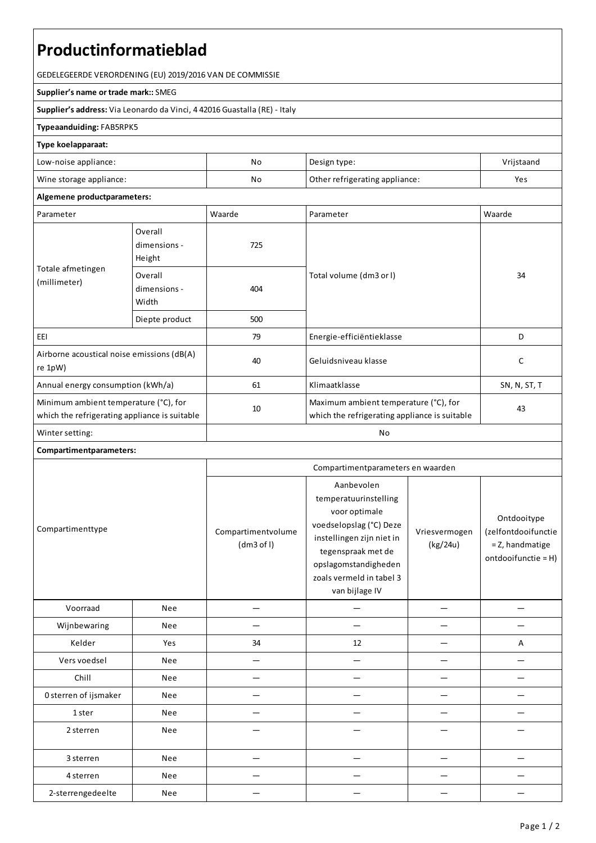# **Productinformatieblad**

GEDELEGEERDE VERORDENING (EU) 2019/2016 VAN DE COMMISSIE

#### **Supplier's name or trade mark::**SMEG

**Supplier's address:** ViaLeonardo da Vinci, 4 42016 Guastalla(RE) - Italy

### **Typeaanduiding:**FAB5RPK5

#### **Type koelapparaat:**

| Low-noise appliance:    | No | Design type:                   | Vrijstaand |
|-------------------------|----|--------------------------------|------------|
| Wine storage appliance: | No | Other refrigerating appliance: | Yes        |

## **Algemene productparameters:**

| Parameter                                                                              |                                   | Waarde | Parameter                                                                              | Waarde       |
|----------------------------------------------------------------------------------------|-----------------------------------|--------|----------------------------------------------------------------------------------------|--------------|
| Totale afmetingen<br>(millimeter)                                                      | Overall<br>dimensions -<br>Height | 725    |                                                                                        | 34           |
|                                                                                        | Overall<br>dimensions -<br>Width  | 404    | Total volume (dm3 or I)                                                                |              |
|                                                                                        | Diepte product                    | 500    |                                                                                        |              |
| EEI                                                                                    |                                   | 79     | Energie-efficiëntieklasse                                                              | D            |
| Airborne acoustical noise emissions (dB(A)<br>re 1pW)                                  |                                   | 40     | Geluidsniveau klasse                                                                   | C            |
| Annual energy consumption (kWh/a)                                                      |                                   | 61     | Klimaatklasse                                                                          | SN, N, ST, T |
| Minimum ambient temperature (°C), for<br>which the refrigerating appliance is suitable |                                   | 10     | Maximum ambient temperature (°C), for<br>which the refrigerating appliance is suitable | 43           |
| Winter setting:                                                                        |                                   | No     |                                                                                        |              |

## **Compartimentparameters:**

|                       |            | Compartimentparameters en waarden |                                                                                                                                                                                                          |                           |                                                                              |
|-----------------------|------------|-----------------------------------|----------------------------------------------------------------------------------------------------------------------------------------------------------------------------------------------------------|---------------------------|------------------------------------------------------------------------------|
| Compartimenttype      |            | Compartimentvolume<br>(dm3 of I)  | Aanbevolen<br>temperatuurinstelling<br>voor optimale<br>voedselopslag (°C) Deze<br>instellingen zijn niet in<br>tegenspraak met de<br>opslagomstandigheden<br>zoals vermeld in tabel 3<br>van bijlage IV | Vriesvermogen<br>(kg/24u) | Ontdooitype<br>(zelfontdooifunctie<br>= Z, handmatige<br>ontdooifunctie = H) |
| Voorraad              | <b>Nee</b> |                                   |                                                                                                                                                                                                          |                           |                                                                              |
| Wijnbewaring          | <b>Nee</b> |                                   |                                                                                                                                                                                                          |                           |                                                                              |
| Kelder                | Yes        | 34                                | 12                                                                                                                                                                                                       |                           | A                                                                            |
| Vers voedsel          | Nee        |                                   |                                                                                                                                                                                                          |                           |                                                                              |
| Chill                 | <b>Nee</b> |                                   |                                                                                                                                                                                                          |                           |                                                                              |
| 0 sterren of ijsmaker | <b>Nee</b> |                                   |                                                                                                                                                                                                          |                           |                                                                              |
| 1 ster                | <b>Nee</b> |                                   |                                                                                                                                                                                                          |                           |                                                                              |
| 2 sterren             | Nee        |                                   |                                                                                                                                                                                                          |                           |                                                                              |
| 3 sterren             | Nee        |                                   |                                                                                                                                                                                                          |                           |                                                                              |
| 4 sterren             | Nee        |                                   |                                                                                                                                                                                                          |                           |                                                                              |
| 2-sterrengedeelte     | Nee        |                                   |                                                                                                                                                                                                          |                           |                                                                              |